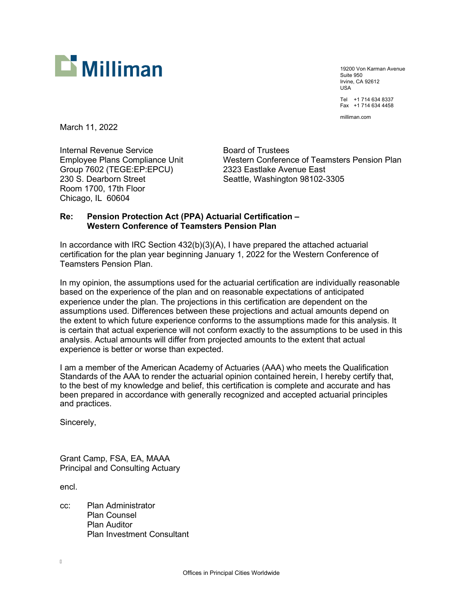

19200 Von Karman Avenue Suite 950 Irvine, CA 92612 USA Tel +1 714 634 8337 Fax +1 714 634 4458

milliman.com

March 11, 2022

Internal Revenue Service **Board of Trustees** Group 7602 (TEGE:EP:EPCU) 2323 Eastlake Avenue East<br>230 S. Dearborn Street 230 Seattle. Washington 98102-3 Room 1700, 17th Floor Chicago, IL 60604

Employee Plans Compliance Unit Western Conference of Teamsters Pension Plan Seattle, Washington 98102-3305

#### **Re: Pension Protection Act (PPA) Actuarial Certification – Western Conference of Teamsters Pension Plan**

In accordance with IRC Section 432(b)(3)(A), I have prepared the attached actuarial certification for the plan year beginning January 1, 2022 for the Western Conference of Teamsters Pension Plan.

In my opinion, the assumptions used for the actuarial certification are individually reasonable based on the experience of the plan and on reasonable expectations of anticipated experience under the plan. The projections in this certification are dependent on the assumptions used. Differences between these projections and actual amounts depend on the extent to which future experience conforms to the assumptions made for this analysis. It is certain that actual experience will not conform exactly to the assumptions to be used in this analysis. Actual amounts will differ from projected amounts to the extent that actual experience is better or worse than expected.

I am a member of the American Academy of Actuaries (AAA) who meets the Qualification Standards of the AAA to render the actuarial opinion contained herein, I hereby certify that, to the best of my knowledge and belief, this certification is complete and accurate and has been prepared in accordance with generally recognized and accepted actuarial principles and practices.

Sincerely,

Grant Camp, FSA, EA, MAAA Principal and Consulting Actuary

encl.

cc: Plan Administrator Plan Counsel Plan Auditor Plan Investment Consultant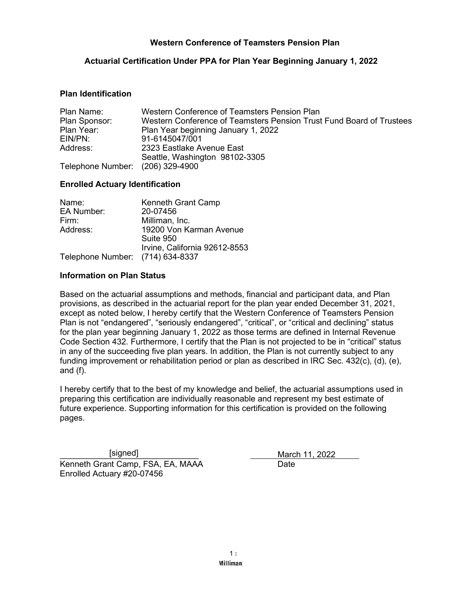### **Actuarial Certification Under PPA for Plan Year Beginning January 1, 2022**

#### **Plan Identification**

| Plan Name:                       | Western Conference of Teamsters Pension Plan                         |  |  |
|----------------------------------|----------------------------------------------------------------------|--|--|
| Plan Sponsor:                    | Western Conference of Teamsters Pension Trust Fund Board of Trustees |  |  |
| Plan Year:                       | Plan Year beginning January 1, 2022                                  |  |  |
| EIN/PN:                          | 91-6145047/001                                                       |  |  |
| Address:                         | 2323 Eastlake Avenue East                                            |  |  |
|                                  | Seattle, Washington 98102-3305                                       |  |  |
| Telephone Number: (206) 329-4900 |                                                                      |  |  |

#### **Enrolled Actuary Identification**

| Name:                            | <b>Kenneth Grant Camp</b>     |
|----------------------------------|-------------------------------|
| <b>EA Number:</b>                | 20-07456                      |
| Firm:                            | Milliman, Inc.                |
| Address:                         | 19200 Von Karman Avenue       |
|                                  | Suite 950                     |
|                                  | Irvine, California 92612-8553 |
| Telephone Number: (714) 634-8337 |                               |

#### **Information on Plan Status**

Based on the actuarial assumptions and methods, financial and participant data, and Plan provisions, as described in the actuarial report for the plan year ended December 31, 2021, except as noted below, I hereby certify that the Western Conference of Teamsters Pension Plan is not "endangered", "seriously endangered", "critical", or "critical and declining" status for the plan year beginning January 1, 2022 as those terms are defined in Internal Revenue Code Section 432. Furthermore, I certify that the Plan is not projected to be in "critical" status in any of the succeeding five plan years. In addition, the Plan is not currently subject to any funding improvement or rehabilitation period or plan as described in IRC Sec. 432(c), (d), (e), and (f).

I hereby certify that to the best of my knowledge and belief, the actuarial assumptions used in preparing this certification are individually reasonable and represent my best estimate of future experience. Supporting information for this certification is provided on the following pages.

Kenneth Grant Camp, FSA, EA, MAAA Enrolled Actuary #20-07456 [signed]

\_\_\_\_\_\_\_\_\_\_\_\_\_\_\_\_\_\_\_\_\_\_\_\_\_\_\_\_\_\_ March 11, 2022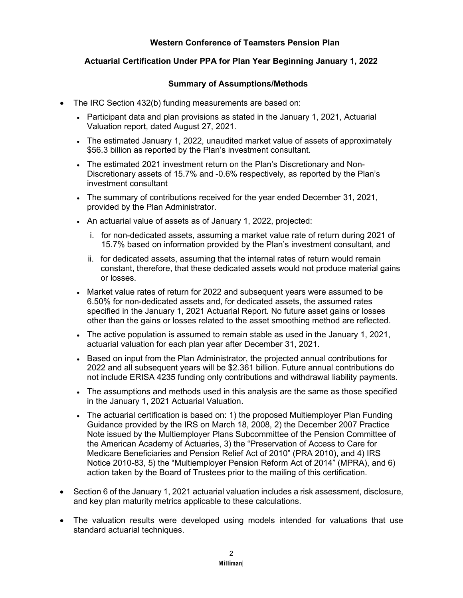# **Actuarial Certification Under PPA for Plan Year Beginning January 1, 2022**

## **Summary of Assumptions/Methods**

- The IRC Section 432(b) funding measurements are based on:
	- Participant data and plan provisions as stated in the January 1, 2021, Actuarial Valuation report, dated August 27, 2021.
	- The estimated January 1, 2022, unaudited market value of assets of approximately \$56.3 billion as reported by the Plan's investment consultant.
	- The estimated 2021 investment return on the Plan's Discretionary and Non-Discretionary assets of 15.7% and -0.6% respectively, as reported by the Plan's investment consultant
	- The summary of contributions received for the year ended December 31, 2021, provided by the Plan Administrator.
	- An actuarial value of assets as of January 1, 2022, projected:
		- i. for non-dedicated assets, assuming a market value rate of return during 2021 of 15.7% based on information provided by the Plan's investment consultant, and
		- ii. for dedicated assets, assuming that the internal rates of return would remain constant, therefore, that these dedicated assets would not produce material gains or losses.
	- Market value rates of return for 2022 and subsequent years were assumed to be 6.50% for non-dedicated assets and, for dedicated assets, the assumed rates specified in the January 1, 2021 Actuarial Report. No future asset gains or losses other than the gains or losses related to the asset smoothing method are reflected.
	- The active population is assumed to remain stable as used in the January 1, 2021, actuarial valuation for each plan year after December 31, 2021.
	- Based on input from the Plan Administrator, the projected annual contributions for 2022 and all subsequent years will be \$2.361 billion. Future annual contributions do not include ERISA 4235 funding only contributions and withdrawal liability payments.
	- The assumptions and methods used in this analysis are the same as those specified in the January 1, 2021 Actuarial Valuation.
	- The actuarial certification is based on: 1) the proposed Multiemployer Plan Funding Guidance provided by the IRS on March 18, 2008, 2) the December 2007 Practice Note issued by the Multiemployer Plans Subcommittee of the Pension Committee of the American Academy of Actuaries, 3) the "Preservation of Access to Care for Medicare Beneficiaries and Pension Relief Act of 2010" (PRA 2010), and 4) IRS Notice 2010-83, 5) the "Multiemployer Pension Reform Act of 2014" (MPRA), and 6) action taken by the Board of Trustees prior to the mailing of this certification.
- Section 6 of the January 1, 2021 actuarial valuation includes a risk assessment, disclosure, and key plan maturity metrics applicable to these calculations.
- The valuation results were developed using models intended for valuations that use standard actuarial techniques.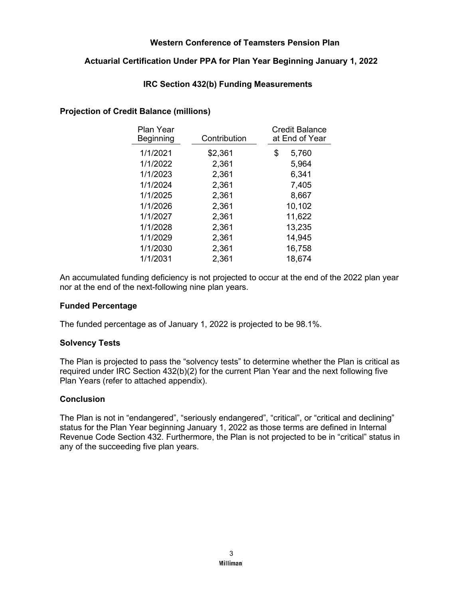# **Actuarial Certification Under PPA for Plan Year Beginning January 1, 2022**

## **IRC Section 432(b) Funding Measurements**

### **Projection of Credit Balance (millions)**

| Contribution | <b>Credit Balance</b><br>at End of Year |
|--------------|-----------------------------------------|
| \$2,361      | \$<br>5,760                             |
| 2,361        | 5,964                                   |
| 2,361        | 6,341                                   |
| 2,361        | 7,405                                   |
| 2,361        | 8,667                                   |
| 2,361        | 10,102                                  |
| 2,361        | 11,622                                  |
| 2,361        | 13,235                                  |
| 2,361        | 14,945                                  |
| 2,361        | 16,758                                  |
| 2,361        | 18,674                                  |
|              |                                         |

An accumulated funding deficiency is not projected to occur at the end of the 2022 plan year nor at the end of the next-following nine plan years.

### **Funded Percentage**

The funded percentage as of January 1, 2022 is projected to be 98.1%.

### **Solvency Tests**

The Plan is projected to pass the "solvency tests" to determine whether the Plan is critical as required under IRC Section 432(b)(2) for the current Plan Year and the next following five Plan Years (refer to attached appendix).

### **Conclusion**

The Plan is not in "endangered", "seriously endangered", "critical", or "critical and declining" status for the Plan Year beginning January 1, 2022 as those terms are defined in Internal Revenue Code Section 432. Furthermore, the Plan is not projected to be in "critical" status in any of the succeeding five plan years.